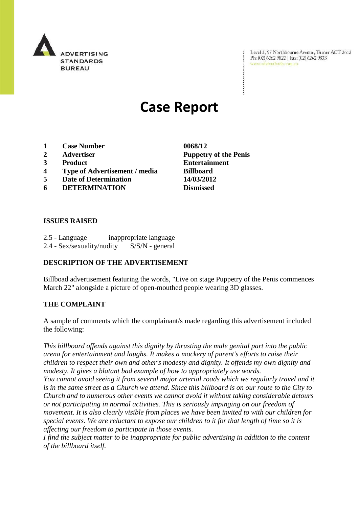

Level 2, 97 Northbourne Avenue, Turner ACT 2612 Ph: (02) 6262 9822 | Fax: (02) 6262 9833 www.adstandards.com.au

# **Case Report**

- **1 Case Number 0068/12**
- 
- 
- **4 Type of Advertisement / media Billboard**
- **5 Date of Determination 14/03/2012**
- **6 DETERMINATION Dismissed**

### **ISSUES RAISED**

2.5 - Language inappropriate language 2.4 - Sex/sexuality/nudity S/S/N - general

## **DESCRIPTION OF THE ADVERTISEMENT**

Billboad advertisement featuring the words, "Live on stage Puppetry of the Penis commences March 22" alongside a picture of open-mouthed people wearing 3D glasses.

#### **THE COMPLAINT**

A sample of comments which the complainant/s made regarding this advertisement included the following:

*This billboard offends against this dignity by thrusting the male genital part into the public arena for entertainment and laughs. It makes a mockery of parent's efforts to raise their children to respect their own and other's modesty and dignity. It offends my own dignity and modesty. It gives a blatant bad example of how to appropriately use words.*

*You cannot avoid seeing it from several major arterial roads which we regularly travel and it is in the same street as a Church we attend. Since this billboard is on our route to the City to Church and to numerous other events we cannot avoid it without taking considerable detours or not participating in normal activities. This is seriously impinging on our freedom of movement. It is also clearly visible from places we have been invited to with our children for special events. We are reluctant to expose our children to it for that length of time so it is affecting our freedom to participate in those events.*

*I find the subject matter to be inappropriate for public advertising in addition to the content of the billboard itself.* 

**2 Advertiser Puppetry of the Penis 3 Product Entertainment**

 $\ddot{\cdot}$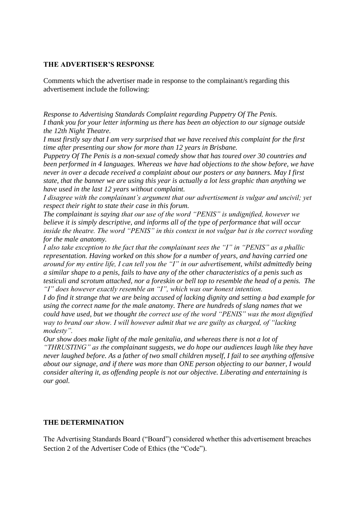#### **THE ADVERTISER'S RESPONSE**

Comments which the advertiser made in response to the complainant/s regarding this advertisement include the following:

*Response to Advertising Standards Complaint regarding Puppetry Of The Penis. I thank you for your letter informing us there has been an objection to our signage outside the 12th Night Theatre.*

*I must firstly say that I am very surprised that we have received this complaint for the first time after presenting our show for more than 12 years in Brisbane.* 

*Puppetry Of The Penis is a non-sexual comedy show that has toured over 30 countries and been performed in 4 languages. Whereas we have had objections to the show before, we have never in over a decade received a complaint about our posters or any banners. May I first state, that the banner we are using this year is actually a lot less graphic than anything we have used in the last 12 years without complaint.*

*I disagree with the complainant's argument that our advertisement is vulgar and uncivil; yet respect their right to state their case in this forum.*

*The complainant is saying that our use of the word "PENIS" is undignified, however we believe it is simply descriptive, and informs all of the type of performance that will occur inside the theatre. The word "PENIS" in this context in not vulgar but is the correct wording for the male anatomy.*

*I also take exception to the fact that the complainant sees the "I" in "PENIS" as a phallic representation. Having worked on this show for a number of years, and having carried one around for my entire life, I can tell you the "I" in our advertisement, whilst admittedly being a similar shape to a penis, fails to have any of the other characteristics of a penis such as testiculi and scrotum attached, nor a foreskin or bell top to resemble the head of a penis. The "I" does however exactly resemble an "I", which was our honest intention.*

*I do find it strange that we are being accused of lacking dignity and setting a bad example for using the correct name for the male anatomy. There are hundreds of slang names that we could have used, but we thought the correct use of the word "PENIS" was the most dignified way to brand our show. I will however admit that we are guilty as charged, of "lacking modesty".*

*Our show does make light of the male genitalia, and whereas there is not a lot of "THRUSTING" as the complainant suggests, we do hope our audiences laugh like they have never laughed before. As a father of two small children myself, I fail to see anything offensive about our signage, and if there was more than ONE person objecting to our banner, I would consider altering it, as offending people is not our objective. Liberating and entertaining is our goal.*

#### **THE DETERMINATION**

The Advertising Standards Board ("Board") considered whether this advertisement breaches Section 2 of the Advertiser Code of Ethics (the "Code").